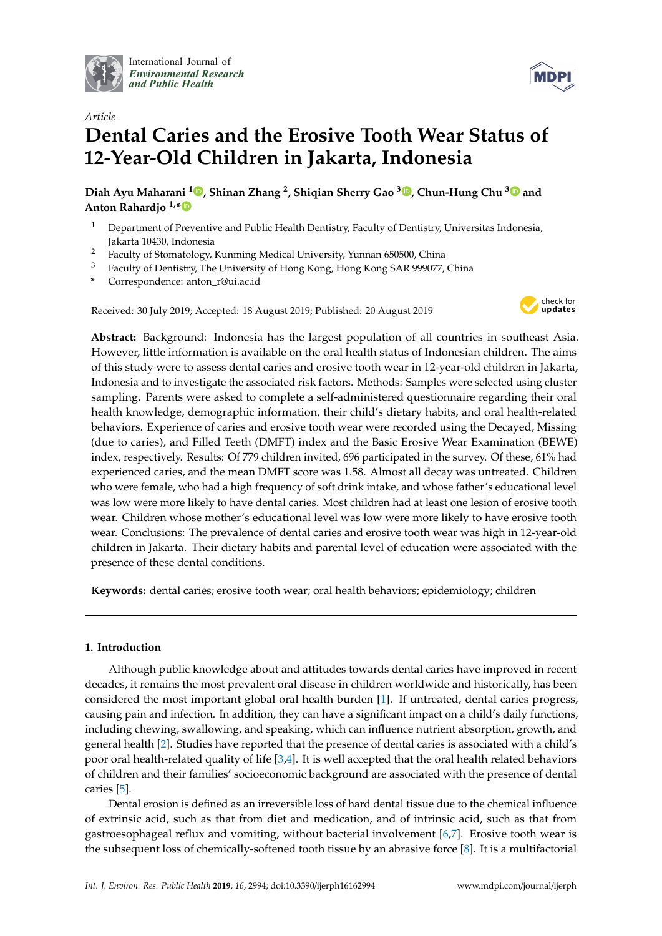

International Journal of *[Environmental Research](http://www.mdpi.com/journal/ijerph) and Public Health*



# *Article* **Dental Caries and the Erosive Tooth Wear Status of 12-Year-Old Children in Jakarta, Indonesia**

**Diah Ayu Maharani <sup>1</sup> [,](https://orcid.org/0000-0001-6713-786X) Shinan Zhang <sup>2</sup> , Shiqian Sherry Gao <sup>3</sup> [,](https://orcid.org/0000-0002-8340-5737) Chun-Hung Chu [3](https://orcid.org/0000-0002-8167-0430) and Anton Rahardjo 1,[\\*](https://orcid.org/0000-0001-7836-9084)**

- <sup>1</sup> Department of Preventive and Public Health Dentistry, Faculty of Dentistry, Universitas Indonesia, Jakarta 10430, Indonesia
- <sup>2</sup> Faculty of Stomatology, Kunming Medical University, Yunnan 650500, China<br><sup>3</sup> Faculty of Dentistan The University of Hene Kene Kene Kene 6AB 000077
- <sup>3</sup> Faculty of Dentistry, The University of Hong Kong, Hong Kong SAR 999077, China
- **\*** Correspondence: anton\_r@ui.ac.id

Received: 30 July 2019; Accepted: 18 August 2019; Published: 20 August 2019



**Abstract:** Background: Indonesia has the largest population of all countries in southeast Asia. However, little information is available on the oral health status of Indonesian children. The aims of this study were to assess dental caries and erosive tooth wear in 12-year-old children in Jakarta, Indonesia and to investigate the associated risk factors. Methods: Samples were selected using cluster sampling. Parents were asked to complete a self-administered questionnaire regarding their oral health knowledge, demographic information, their child's dietary habits, and oral health-related behaviors. Experience of caries and erosive tooth wear were recorded using the Decayed, Missing (due to caries), and Filled Teeth (DMFT) index and the Basic Erosive Wear Examination (BEWE) index, respectively. Results: Of 779 children invited, 696 participated in the survey. Of these, 61% had experienced caries, and the mean DMFT score was 1.58. Almost all decay was untreated. Children who were female, who had a high frequency of soft drink intake, and whose father's educational level was low were more likely to have dental caries. Most children had at least one lesion of erosive tooth wear. Children whose mother's educational level was low were more likely to have erosive tooth wear. Conclusions: The prevalence of dental caries and erosive tooth wear was high in 12-year-old children in Jakarta. Their dietary habits and parental level of education were associated with the presence of these dental conditions.

**Keywords:** dental caries; erosive tooth wear; oral health behaviors; epidemiology; children

## **1. Introduction**

Although public knowledge about and attitudes towards dental caries have improved in recent decades, it remains the most prevalent oral disease in children worldwide and historically, has been considered the most important global oral health burden [\[1\]](#page-7-0). If untreated, dental caries progress, causing pain and infection. In addition, they can have a significant impact on a child's daily functions, including chewing, swallowing, and speaking, which can influence nutrient absorption, growth, and general health [\[2\]](#page-7-1). Studies have reported that the presence of dental caries is associated with a child's poor oral health-related quality of life  $[3,4]$  $[3,4]$ . It is well accepted that the oral health related behaviors of children and their families' socioeconomic background are associated with the presence of dental caries [\[5\]](#page-7-4).

Dental erosion is defined as an irreversible loss of hard dental tissue due to the chemical influence of extrinsic acid, such as that from diet and medication, and of intrinsic acid, such as that from gastroesophageal reflux and vomiting, without bacterial involvement [\[6](#page-7-5)[,7\]](#page-7-6). Erosive tooth wear is the subsequent loss of chemically-softened tooth tissue by an abrasive force [\[8\]](#page-7-7). It is a multifactorial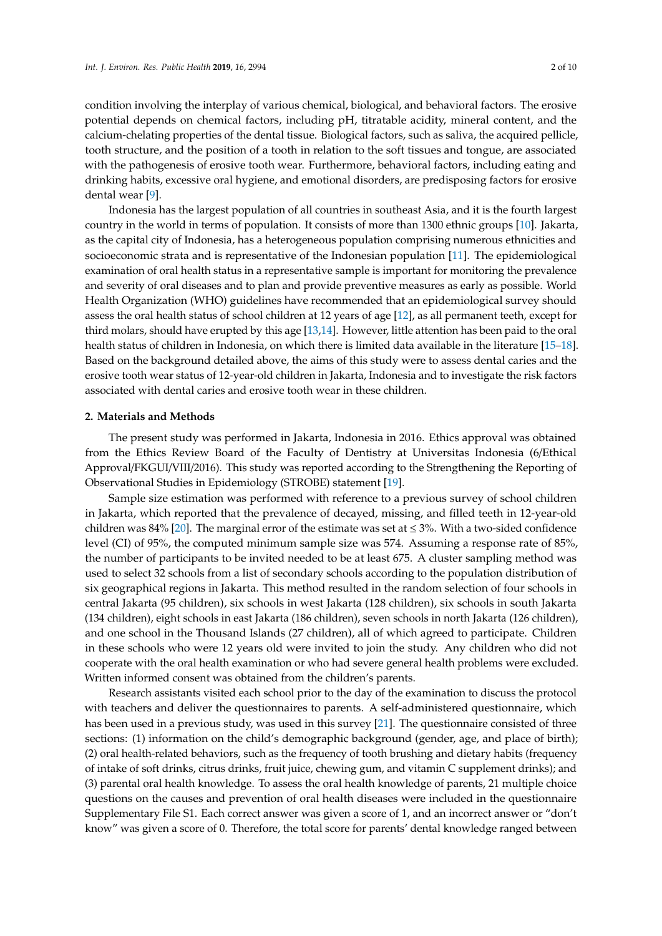condition involving the interplay of various chemical, biological, and behavioral factors. The erosive potential depends on chemical factors, including pH, titratable acidity, mineral content, and the calcium-chelating properties of the dental tissue. Biological factors, such as saliva, the acquired pellicle, tooth structure, and the position of a tooth in relation to the soft tissues and tongue, are associated with the pathogenesis of erosive tooth wear. Furthermore, behavioral factors, including eating and drinking habits, excessive oral hygiene, and emotional disorders, are predisposing factors for erosive dental wear [\[9\]](#page-8-0).

Indonesia has the largest population of all countries in southeast Asia, and it is the fourth largest country in the world in terms of population. It consists of more than 1300 ethnic groups [\[10\]](#page-8-1). Jakarta, as the capital city of Indonesia, has a heterogeneous population comprising numerous ethnicities and socioeconomic strata and is representative of the Indonesian population [\[11\]](#page-8-2). The epidemiological examination of oral health status in a representative sample is important for monitoring the prevalence and severity of oral diseases and to plan and provide preventive measures as early as possible. World Health Organization (WHO) guidelines have recommended that an epidemiological survey should assess the oral health status of school children at 12 years of age [\[12\]](#page-8-3), as all permanent teeth, except for third molars, should have erupted by this age [\[13](#page-8-4)[,14\]](#page-8-5). However, little attention has been paid to the oral health status of children in Indonesia, on which there is limited data available in the literature [\[15–](#page-8-6)[18\]](#page-8-7). Based on the background detailed above, the aims of this study were to assess dental caries and the erosive tooth wear status of 12-year-old children in Jakarta, Indonesia and to investigate the risk factors associated with dental caries and erosive tooth wear in these children.

# **2. Materials and Methods**

The present study was performed in Jakarta, Indonesia in 2016. Ethics approval was obtained from the Ethics Review Board of the Faculty of Dentistry at Universitas Indonesia (6/Ethical Approval/FKGUI/VIII/2016). This study was reported according to the Strengthening the Reporting of Observational Studies in Epidemiology (STROBE) statement [\[19\]](#page-8-8).

Sample size estimation was performed with reference to a previous survey of school children in Jakarta, which reported that the prevalence of decayed, missing, and filled teeth in 12-year-old children was 84% [\[20\]](#page-8-9). The marginal error of the estimate was set at  $\leq 3$ %. With a two-sided confidence level (CI) of 95%, the computed minimum sample size was 574. Assuming a response rate of 85%, the number of participants to be invited needed to be at least 675. A cluster sampling method was used to select 32 schools from a list of secondary schools according to the population distribution of six geographical regions in Jakarta. This method resulted in the random selection of four schools in central Jakarta (95 children), six schools in west Jakarta (128 children), six schools in south Jakarta (134 children), eight schools in east Jakarta (186 children), seven schools in north Jakarta (126 children), and one school in the Thousand Islands (27 children), all of which agreed to participate. Children in these schools who were 12 years old were invited to join the study. Any children who did not cooperate with the oral health examination or who had severe general health problems were excluded. Written informed consent was obtained from the children's parents.

Research assistants visited each school prior to the day of the examination to discuss the protocol with teachers and deliver the questionnaires to parents. A self-administered questionnaire, which has been used in a previous study, was used in this survey [\[21\]](#page-8-10). The questionnaire consisted of three sections: (1) information on the child's demographic background (gender, age, and place of birth); (2) oral health-related behaviors, such as the frequency of tooth brushing and dietary habits (frequency of intake of soft drinks, citrus drinks, fruit juice, chewing gum, and vitamin C supplement drinks); and (3) parental oral health knowledge. To assess the oral health knowledge of parents, 21 multiple choice questions on the causes and prevention of oral health diseases were included in the questionnaire Supplementary File S1. Each correct answer was given a score of 1, and an incorrect answer or "don't know" was given a score of 0. Therefore, the total score for parents' dental knowledge ranged between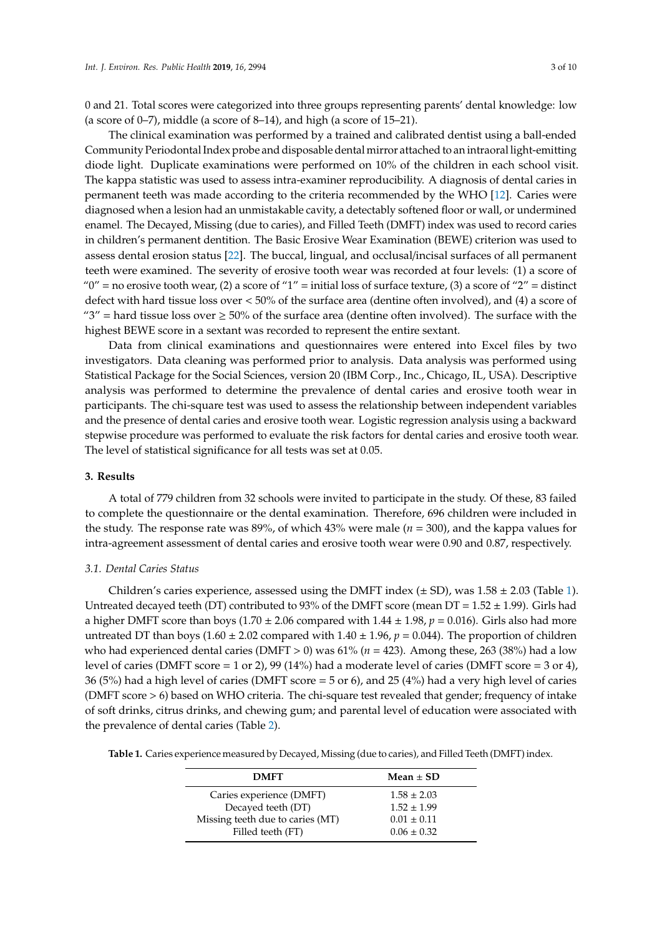0 and 21. Total scores were categorized into three groups representing parents' dental knowledge: low (a score of  $0-7$ ), middle (a score of  $8-14$ ), and high (a score of  $15-21$ ).

The clinical examination was performed by a trained and calibrated dentist using a ball-ended Community Periodontal Index probe and disposable dental mirror attached to an intraoral light-emitting diode light. Duplicate examinations were performed on 10% of the children in each school visit. The kappa statistic was used to assess intra-examiner reproducibility. A diagnosis of dental caries in permanent teeth was made according to the criteria recommended by the WHO [\[12\]](#page-8-3). Caries were diagnosed when a lesion had an unmistakable cavity, a detectably softened floor or wall, or undermined enamel. The Decayed, Missing (due to caries), and Filled Teeth (DMFT) index was used to record caries in children's permanent dentition. The Basic Erosive Wear Examination (BEWE) criterion was used to assess dental erosion status [\[22\]](#page-8-11). The buccal, lingual, and occlusal/incisal surfaces of all permanent teeth were examined. The severity of erosive tooth wear was recorded at four levels: (1) a score of "0" = no erosive tooth wear, (2) a score of "1" = initial loss of surface texture, (3) a score of "2" = distinct defect with hard tissue loss over < 50% of the surface area (dentine often involved), and (4) a score of "3" = hard tissue loss over  $\geq$  50% of the surface area (dentine often involved). The surface with the highest BEWE score in a sextant was recorded to represent the entire sextant.

Data from clinical examinations and questionnaires were entered into Excel files by two investigators. Data cleaning was performed prior to analysis. Data analysis was performed using Statistical Package for the Social Sciences, version 20 (IBM Corp., Inc., Chicago, IL, USA). Descriptive analysis was performed to determine the prevalence of dental caries and erosive tooth wear in participants. The chi-square test was used to assess the relationship between independent variables and the presence of dental caries and erosive tooth wear. Logistic regression analysis using a backward stepwise procedure was performed to evaluate the risk factors for dental caries and erosive tooth wear. The level of statistical significance for all tests was set at 0.05.

## **3. Results**

A total of 779 children from 32 schools were invited to participate in the study. Of these, 83 failed to complete the questionnaire or the dental examination. Therefore, 696 children were included in the study. The response rate was  $89\%$ , of which  $43\%$  were male ( $n = 300$ ), and the kappa values for intra-agreement assessment of dental caries and erosive tooth wear were 0.90 and 0.87, respectively.

## *3.1. Dental Caries Status*

Children's caries experience, assessed using the DMFT index  $(\pm SD)$ , was  $1.58 \pm 2.03$  (Table [1\)](#page-2-0). Untreated decayed teeth (DT) contributed to 93% of the DMFT score (mean DT =  $1.52 \pm 1.99$ ). Girls had a higher DMFT score than boys (1.70  $\pm$  2.06 compared with 1.44  $\pm$  1.98,  $p = 0.016$ ). Girls also had more untreated DT than boys (1.60  $\pm$  2.02 compared with 1.40  $\pm$  1.96,  $p = 0.044$ ). The proportion of children who had experienced dental caries (DMFT > 0) was 61% (*n* = 423). Among these, 263 (38%) had a low level of caries (DMFT score = 1 or 2), 99 (14%) had a moderate level of caries (DMFT score = 3 or 4), 36 (5%) had a high level of caries (DMFT score = 5 or 6), and 25 (4%) had a very high level of caries (DMFT score > 6) based on WHO criteria. The chi-square test revealed that gender; frequency of intake of soft drinks, citrus drinks, and chewing gum; and parental level of education were associated with the prevalence of dental caries (Table [2\)](#page-3-0).

<span id="page-2-0"></span>

| Table 1. Caries experience measured by Decayed, Missing (due to caries), and Filled Teeth (DMFT) index. |  |  |  |
|---------------------------------------------------------------------------------------------------------|--|--|--|
|---------------------------------------------------------------------------------------------------------|--|--|--|

| <b>DMFT</b>                      | Mean $\pm$ SD   |
|----------------------------------|-----------------|
| Caries experience (DMFT)         | $1.58 \pm 2.03$ |
| Decayed teeth (DT)               | $1.52 \pm 1.99$ |
| Missing teeth due to caries (MT) | $0.01 \pm 0.11$ |
| Filled teeth (FT)                | $0.06 \pm 0.32$ |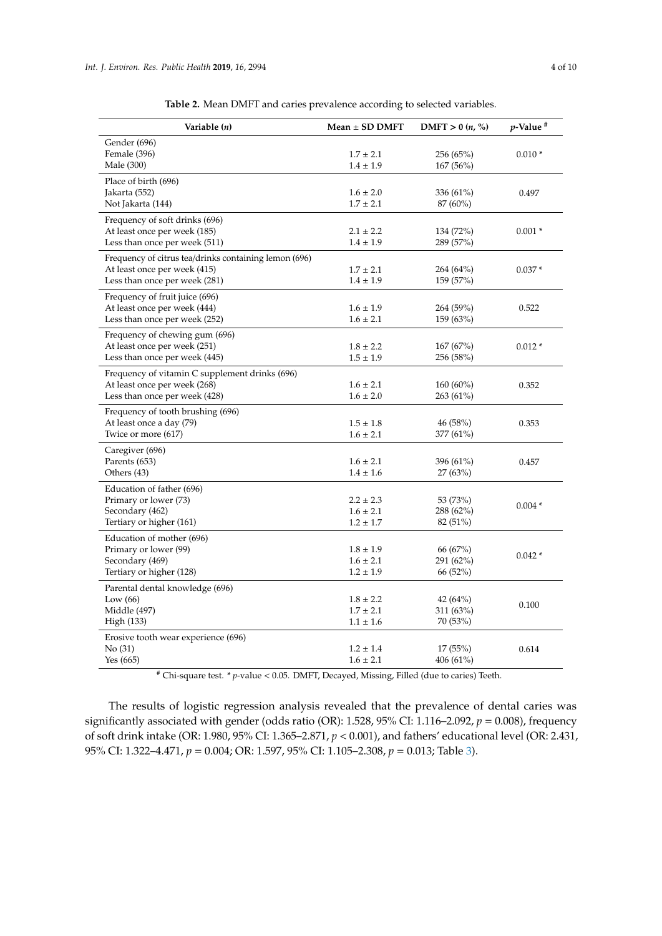<span id="page-3-0"></span>

| Variable (n)                                                                                                           | $Mean \pm SD$ DMFT                              | DMFT $> 0(n, %$                   | $p$ -Value <sup>#</sup> |
|------------------------------------------------------------------------------------------------------------------------|-------------------------------------------------|-----------------------------------|-------------------------|
| Gender (696)<br>Female (396)<br>Male (300)                                                                             | $1.7 \pm 2.1$<br>$1.4 \pm 1.9$                  | 256 (65%)<br>167 (56%)            | $0.010*$                |
| Place of birth (696)<br>Jakarta (552)<br>Not Jakarta (144)                                                             | $1.6 \pm 2.0$<br>$1.7 \pm 2.1$                  | 336 (61%)<br>87 (60%)             | 0.497                   |
| Frequency of soft drinks (696)<br>At least once per week (185)<br>Less than once per week (511)                        | $2.1 \pm 2.2$<br>$1.4 \pm 1.9$                  | 134 (72%)<br>289 (57%)            | $0.001*$                |
| Frequency of citrus tea/drinks containing lemon (696)<br>At least once per week (415)<br>Less than once per week (281) | $1.7 \pm 2.1$<br>$1.4 \pm 1.9$                  | 264 (64%)<br>159 (57%)            | $0.037*$                |
| Frequency of fruit juice (696)<br>At least once per week (444)<br>Less than once per week (252)                        | $1.6 \pm 1.9$<br>$1.6 \pm 2.1$                  | 264 (59%)<br>159(63%)             | 0.522                   |
| Frequency of chewing gum (696)<br>At least once per week (251)<br>Less than once per week (445)                        | $1.8 \pm 2.2$<br>$1.5 \pm 1.9$                  | 167(67%)<br>256 (58%)             | $0.012*$                |
| Frequency of vitamin C supplement drinks (696)<br>At least once per week (268)<br>Less than once per week (428)        | $1.6 \pm 2.1$<br>$1.6 \pm 2.0$                  | 160 (60%)<br>263 (61%)            | 0.352                   |
| Frequency of tooth brushing (696)<br>At least once a day (79)<br>Twice or more (617)                                   | $1.5 \pm 1.8$<br>$1.6 \pm 2.1$                  | 46 (58%)<br>377 (61%)             | 0.353                   |
| Caregiver (696)<br>Parents (653)<br>Others (43)                                                                        | $1.6 \pm 2.1$<br>$1.4 \pm 1.6$                  | 396 (61%)<br>27(63%)              | 0.457                   |
| Education of father (696)<br>Primary or lower (73)<br>Secondary (462)<br>Tertiary or higher (161)                      | $2.2 \pm 2.3$<br>$1.6 \pm 2.1$<br>$1.2 \pm 1.7$ | 53 (73%)<br>288 (62%)<br>82 (51%) | $0.004*$                |
| Education of mother (696)<br>Primary or lower (99)<br>Secondary (469)<br>Tertiary or higher (128)                      | $1.8 \pm 1.9$<br>$1.6 \pm 2.1$<br>$1.2 \pm 1.9$ | 66 (67%)<br>291 (62%)<br>66 (52%) | $0.042*$                |
| Parental dental knowledge (696)<br>Low $(66)$<br>Middle (497)<br>High (133)                                            | $1.8 \pm 2.2$<br>$1.7 \pm 2.1$<br>$1.1 \pm 1.6$ | 42 (64%)<br>311 (63%)<br>70 (53%) | 0.100                   |
| Erosive tooth wear experience (696)<br>No(31)<br>Yes (665)                                                             | $1.2 \pm 1.4$<br>$1.6 \pm 2.1$                  | 17(55%)<br>406 (61%)              | 0.614                   |

**Table 2.** Mean DMFT and caries prevalence according to selected variables.

# Chi-square test. \* *p*-value < 0.05. DMFT, Decayed, Missing, Filled (due to caries) Teeth.

The results of logistic regression analysis revealed that the prevalence of dental caries was significantly associated with gender (odds ratio (OR): 1.528, 95% CI: 1.116–2.092, *p* = 0.008), frequency of soft drink intake (OR: 1.980, 95% CI: 1.365–2.871, *p* < 0.001), and fathers' educational level (OR: 2.431, 95% CI: 1.322–4.471, *p* = 0.004; OR: 1.597, 95% CI: 1.105–2.308, *p* = 0.013; Table [3\)](#page-4-0).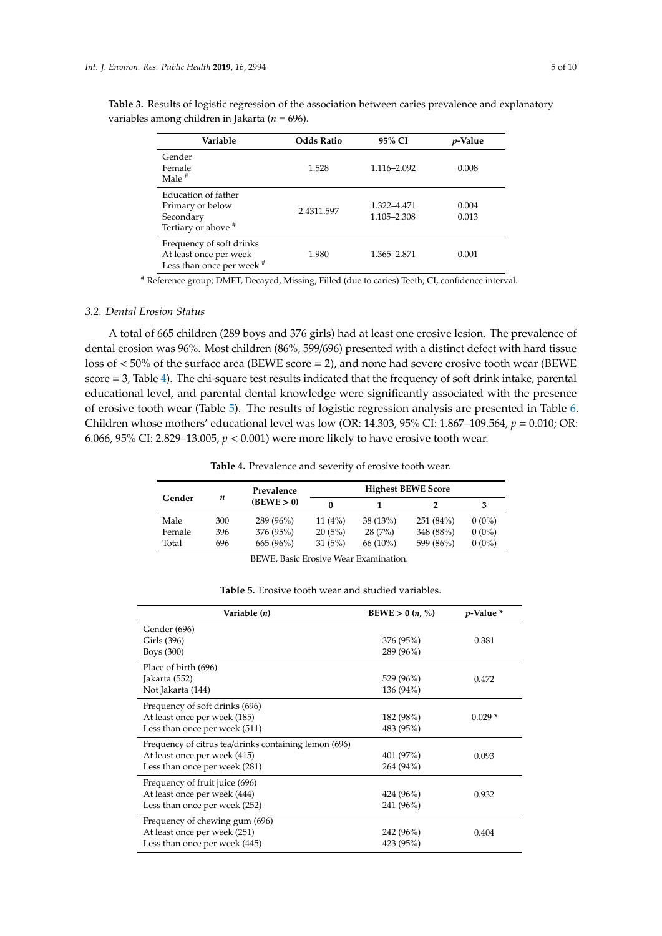| Variable                                                                        | <b>Odds Ratio</b> | 95% CI                     | <i>p</i> -Value |
|---------------------------------------------------------------------------------|-------------------|----------------------------|-----------------|
| Gender<br>Female<br>Male $#$                                                    | 1.528             | 1.116-2.092                | 0.008           |
| Education of father<br>Primary or below<br>Secondary<br>Tertiary or above #     | 2.4311.597        | 1.322-4.471<br>1.105-2.308 | 0.004<br>0.013  |
| Frequency of soft drinks<br>At least once per week<br>Less than once per week # | 1.980             | 1.365-2.871                | 0.001           |

<span id="page-4-0"></span>**Table 3.** Results of logistic regression of the association between caries prevalence and explanatory variables among children in Jakarta (*n* = 696).

# Reference group; DMFT, Decayed, Missing, Filled (due to caries) Teeth; CI, confidence interval.

## *3.2. Dental Erosion Status*

A total of 665 children (289 boys and 376 girls) had at least one erosive lesion. The prevalence of dental erosion was 96%. Most children (86%, 599/696) presented with a distinct defect with hard tissue loss of < 50% of the surface area (BEWE score = 2), and none had severe erosive tooth wear (BEWE score = 3, Table [4\)](#page-4-1). The chi-square test results indicated that the frequency of soft drink intake, parental educational level, and parental dental knowledge were significantly associated with the presence of erosive tooth wear (Table [5\)](#page-5-0). The results of logistic regression analysis are presented in Table [6.](#page-5-1) Children whose mothers' educational level was low (OR: 14.303, 95% CI: 1.867–109.564, *p* = 0.010; OR: 6.066, 95% CI: 2.829–13.005, *p* < 0.001) were more likely to have erosive tooth wear.

**Table 4.** Prevalence and severity of erosive tooth wear.

<span id="page-4-1"></span>

|        |     | Prevalence |        |            | <b>Highest BEWE Score</b> |          |
|--------|-----|------------|--------|------------|---------------------------|----------|
| Gender | n   | (BEWE > 0) |        |            |                           | з        |
| Male   | 300 | 289 (96%)  | 11(4%) | 38(13%)    | 251(84%)                  | $0(0\%)$ |
| Female | 396 | 376 (95%)  | 20(5%) | 28(7%)     | 348 (88%)                 | $0(0\%)$ |
| Total  | 696 | 665 (96%)  | 31(5%) | $66(10\%)$ | 599 (86%)                 | $0(0\%)$ |

BEWE, Basic Erosive Wear Examination.

| <b>Table 5.</b> Erosive tooth wear and studied variables. |
|-----------------------------------------------------------|
|-----------------------------------------------------------|

| Variable (n)                                          | <b>BEWE</b> $> 0$ ( <i>n</i> , %) | $p$ -Value $*$ |
|-------------------------------------------------------|-----------------------------------|----------------|
| Gender (696)                                          |                                   |                |
| Girls (396)                                           | 376 (95%)                         | 0.381          |
| Boys (300)                                            | 289 (96%)                         |                |
| Place of birth (696)                                  |                                   |                |
| Jakarta (552)                                         | 529 (96%)                         | 0.472          |
| Not Jakarta (144)                                     | 136 (94%)                         |                |
| Frequency of soft drinks (696)                        |                                   |                |
| At least once per week (185)                          | 182 (98%)                         | $0.029*$       |
| Less than once per week (511)                         | 483 (95%)                         |                |
| Frequency of citrus tea/drinks containing lemon (696) |                                   |                |
| At least once per week (415)                          | 401 (97%)                         | 0.093          |
| Less than once per week (281)                         | 264 (94%)                         |                |
| Frequency of fruit juice (696)                        |                                   |                |
| At least once per week (444)                          | 424 (96%)                         | 0.932          |
| Less than once per week (252)                         | 241 (96%)                         |                |
| Frequency of chewing gum (696)                        |                                   |                |
| At least once per week (251)                          | 242 (96%)                         | 0.404          |
| Less than once per week (445)                         | 423 (95%)                         |                |
|                                                       |                                   |                |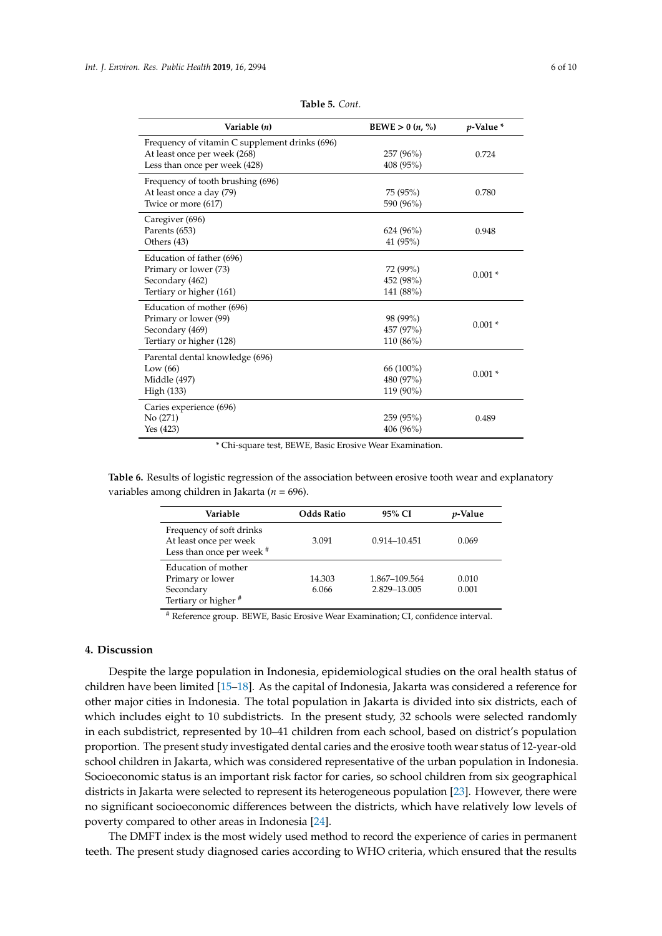<span id="page-5-0"></span>

| Variable (n)                                   | $BEWE > 0$ $(n, %)$ | $p$ -Value $*$ |
|------------------------------------------------|---------------------|----------------|
| Frequency of vitamin C supplement drinks (696) |                     |                |
| At least once per week (268)                   | 257 (96%)           | 0.724          |
| Less than once per week (428)                  | 408 (95%)           |                |
| Frequency of tooth brushing (696)              |                     |                |
| At least once a day (79)                       | 75 (95%)            | 0.780          |
| Twice or more (617)                            | 590 (96%)           |                |
| Caregiver (696)                                |                     |                |
| Parents (653)                                  | $624(96\%)$         | 0.948          |
| Others (43)                                    | 41 (95%)            |                |
| Education of father (696)                      |                     |                |
| Primary or lower (73)                          | 72 (99%)            | $0.001*$       |
| Secondary (462)                                | 452 (98%)           |                |
| Tertiary or higher (161)                       | 141 (88%)           |                |
| Education of mother (696)                      |                     |                |
| Primary or lower (99)                          | 98 (99%)            | $0.001*$       |
| Secondary (469)                                | 457 (97%)           |                |
| Tertiary or higher (128)                       | 110 (86%)           |                |
| Parental dental knowledge (696)                |                     |                |
| Low $(66)$                                     | 66 (100%)           | $0.001*$       |
| Middle (497)                                   | 480 (97%)           |                |
| High (133)                                     | 119 (90%)           |                |
| Caries experience (696)                        |                     |                |
| No (271)                                       | 259 (95%)           | 0.489          |
| Yes (423)                                      | 406 (96%)           |                |

**Table 5.** *Cont.*

\* Chi-square test, BEWE, Basic Erosive Wear Examination.

<span id="page-5-1"></span>**Table 6.** Results of logistic regression of the association between erosive tooth wear and explanatory variables among children in Jakarta (*n* = 696).

| Variable                                                                                | <b>Odds Ratio</b> | 95% CI                        | <i>p</i> -Value |
|-----------------------------------------------------------------------------------------|-------------------|-------------------------------|-----------------|
| Frequency of soft drinks<br>At least once per week<br>Less than once per week #         | 3.091             | 0.914-10.451                  | 0.069           |
| Education of mother<br>Primary or lower<br>Secondary<br>Tertiary or higher <sup>#</sup> | 14.303<br>6.066   | 1.867-109.564<br>2.829-13.005 | 0.010<br>0.001  |

# Reference group. BEWE, Basic Erosive Wear Examination; CI, confidence interval.

# **4. Discussion**

Despite the large population in Indonesia, epidemiological studies on the oral health status of children have been limited [\[15](#page-8-6)[–18\]](#page-8-7). As the capital of Indonesia, Jakarta was considered a reference for other major cities in Indonesia. The total population in Jakarta is divided into six districts, each of which includes eight to 10 subdistricts. In the present study, 32 schools were selected randomly in each subdistrict, represented by 10–41 children from each school, based on district's population proportion. The present study investigated dental caries and the erosive tooth wear status of 12-year-old school children in Jakarta, which was considered representative of the urban population in Indonesia. Socioeconomic status is an important risk factor for caries, so school children from six geographical districts in Jakarta were selected to represent its heterogeneous population [\[23\]](#page-8-12). However, there were no significant socioeconomic differences between the districts, which have relatively low levels of poverty compared to other areas in Indonesia [\[24\]](#page-8-13).

The DMFT index is the most widely used method to record the experience of caries in permanent teeth. The present study diagnosed caries according to WHO criteria, which ensured that the results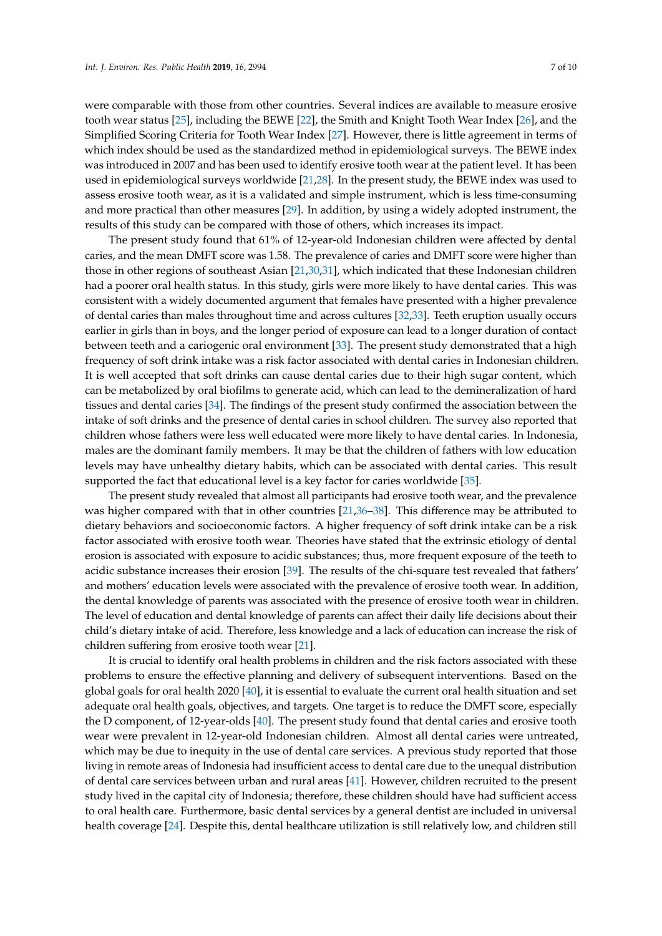were comparable with those from other countries. Several indices are available to measure erosive tooth wear status [\[25\]](#page-8-14), including the BEWE [\[22\]](#page-8-11), the Smith and Knight Tooth Wear Index [\[26\]](#page-8-15), and the Simplified Scoring Criteria for Tooth Wear Index [\[27\]](#page-8-16). However, there is little agreement in terms of which index should be used as the standardized method in epidemiological surveys. The BEWE index was introduced in 2007 and has been used to identify erosive tooth wear at the patient level. It has been used in epidemiological surveys worldwide [\[21](#page-8-10)[,28\]](#page-8-17). In the present study, the BEWE index was used to assess erosive tooth wear, as it is a validated and simple instrument, which is less time-consuming and more practical than other measures [\[29\]](#page-8-18). In addition, by using a widely adopted instrument, the results of this study can be compared with those of others, which increases its impact.

The present study found that 61% of 12-year-old Indonesian children were affected by dental caries, and the mean DMFT score was 1.58. The prevalence of caries and DMFT score were higher than those in other regions of southeast Asian [\[21](#page-8-10)[,30](#page-8-19)[,31\]](#page-8-20), which indicated that these Indonesian children had a poorer oral health status. In this study, girls were more likely to have dental caries. This was consistent with a widely documented argument that females have presented with a higher prevalence of dental caries than males throughout time and across cultures [\[32,](#page-9-0)[33\]](#page-9-1). Teeth eruption usually occurs earlier in girls than in boys, and the longer period of exposure can lead to a longer duration of contact between teeth and a cariogenic oral environment [\[33\]](#page-9-1). The present study demonstrated that a high frequency of soft drink intake was a risk factor associated with dental caries in Indonesian children. It is well accepted that soft drinks can cause dental caries due to their high sugar content, which can be metabolized by oral biofilms to generate acid, which can lead to the demineralization of hard tissues and dental caries [\[34\]](#page-9-2). The findings of the present study confirmed the association between the intake of soft drinks and the presence of dental caries in school children. The survey also reported that children whose fathers were less well educated were more likely to have dental caries. In Indonesia, males are the dominant family members. It may be that the children of fathers with low education levels may have unhealthy dietary habits, which can be associated with dental caries. This result supported the fact that educational level is a key factor for caries worldwide [\[35\]](#page-9-3).

The present study revealed that almost all participants had erosive tooth wear, and the prevalence was higher compared with that in other countries [\[21,](#page-8-10)[36](#page-9-4)[–38\]](#page-9-5). This difference may be attributed to dietary behaviors and socioeconomic factors. A higher frequency of soft drink intake can be a risk factor associated with erosive tooth wear. Theories have stated that the extrinsic etiology of dental erosion is associated with exposure to acidic substances; thus, more frequent exposure of the teeth to acidic substance increases their erosion [\[39\]](#page-9-6). The results of the chi-square test revealed that fathers' and mothers' education levels were associated with the prevalence of erosive tooth wear. In addition, the dental knowledge of parents was associated with the presence of erosive tooth wear in children. The level of education and dental knowledge of parents can affect their daily life decisions about their child's dietary intake of acid. Therefore, less knowledge and a lack of education can increase the risk of children suffering from erosive tooth wear [\[21\]](#page-8-10).

It is crucial to identify oral health problems in children and the risk factors associated with these problems to ensure the effective planning and delivery of subsequent interventions. Based on the global goals for oral health 2020 [\[40\]](#page-9-7), it is essential to evaluate the current oral health situation and set adequate oral health goals, objectives, and targets. One target is to reduce the DMFT score, especially the D component, of 12-year-olds [\[40\]](#page-9-7). The present study found that dental caries and erosive tooth wear were prevalent in 12-year-old Indonesian children. Almost all dental caries were untreated, which may be due to inequity in the use of dental care services. A previous study reported that those living in remote areas of Indonesia had insufficient access to dental care due to the unequal distribution of dental care services between urban and rural areas [\[41\]](#page-9-8). However, children recruited to the present study lived in the capital city of Indonesia; therefore, these children should have had sufficient access to oral health care. Furthermore, basic dental services by a general dentist are included in universal health coverage [\[24\]](#page-8-13). Despite this, dental healthcare utilization is still relatively low, and children still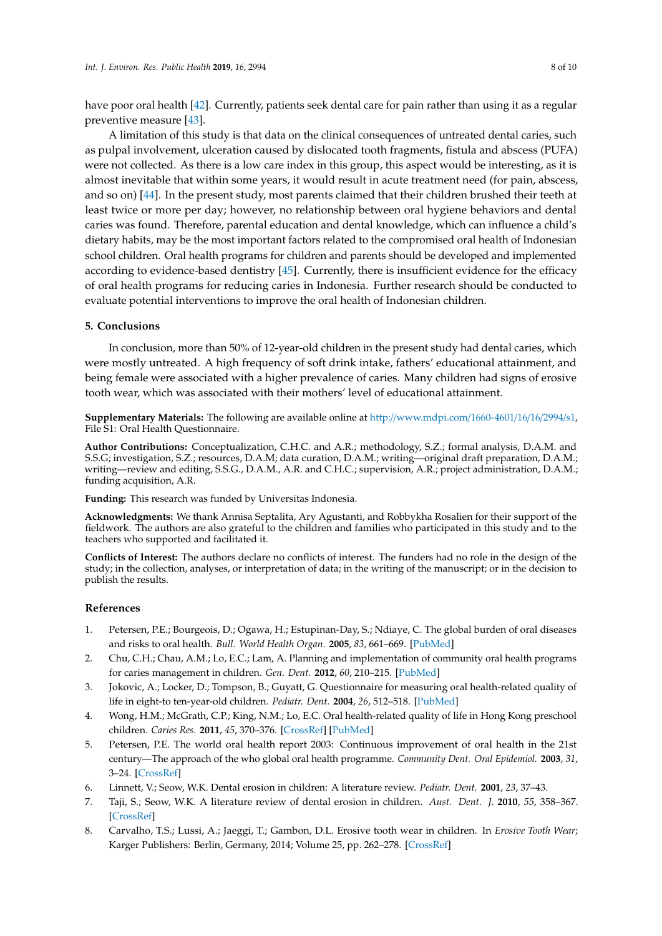have poor oral health [\[42\]](#page-9-9). Currently, patients seek dental care for pain rather than using it as a regular preventive measure [\[43\]](#page-9-10).

A limitation of this study is that data on the clinical consequences of untreated dental caries, such as pulpal involvement, ulceration caused by dislocated tooth fragments, fistula and abscess (PUFA) were not collected. As there is a low care index in this group, this aspect would be interesting, as it is almost inevitable that within some years, it would result in acute treatment need (for pain, abscess, and so on) [\[44\]](#page-9-11). In the present study, most parents claimed that their children brushed their teeth at least twice or more per day; however, no relationship between oral hygiene behaviors and dental caries was found. Therefore, parental education and dental knowledge, which can influence a child's dietary habits, may be the most important factors related to the compromised oral health of Indonesian school children. Oral health programs for children and parents should be developed and implemented according to evidence-based dentistry [\[45\]](#page-9-12). Currently, there is insufficient evidence for the efficacy of oral health programs for reducing caries in Indonesia. Further research should be conducted to evaluate potential interventions to improve the oral health of Indonesian children.

#### **5. Conclusions**

In conclusion, more than 50% of 12-year-old children in the present study had dental caries, which were mostly untreated. A high frequency of soft drink intake, fathers' educational attainment, and being female were associated with a higher prevalence of caries. Many children had signs of erosive tooth wear, which was associated with their mothers' level of educational attainment.

**Supplementary Materials:** The following are available online at http://[www.mdpi.com](http://www.mdpi.com/1660-4601/16/16/2994/s1)/1660-4601/16/16/2994/s1, File S1: Oral Health Questionnaire.

**Author Contributions:** Conceptualization, C.H.C. and A.R.; methodology, S.Z.; formal analysis, D.A.M. and S.S.G; investigation, S.Z.; resources, D.A.M; data curation, D.A.M.; writing—original draft preparation, D.A.M.; writing—review and editing, S.S.G., D.A.M., A.R. and C.H.C.; supervision, A.R.; project administration, D.A.M.; funding acquisition, A.R.

**Funding:** This research was funded by Universitas Indonesia.

**Acknowledgments:** We thank Annisa Septalita, Ary Agustanti, and Robbykha Rosalien for their support of the fieldwork. The authors are also grateful to the children and families who participated in this study and to the teachers who supported and facilitated it.

**Conflicts of Interest:** The authors declare no conflicts of interest. The funders had no role in the design of the study; in the collection, analyses, or interpretation of data; in the writing of the manuscript; or in the decision to publish the results.

#### **References**

- <span id="page-7-0"></span>1. Petersen, P.E.; Bourgeois, D.; Ogawa, H.; Estupinan-Day, S.; Ndiaye, C. The global burden of oral diseases and risks to oral health. *Bull. World Health Organ.* **2005**, *83*, 661–669. [\[PubMed\]](http://www.ncbi.nlm.nih.gov/pubmed/16211157)
- <span id="page-7-1"></span>2. Chu, C.H.; Chau, A.M.; Lo, E.C.; Lam, A. Planning and implementation of community oral health programs for caries management in children. *Gen. Dent.* **2012**, *60*, 210–215. [\[PubMed\]](http://www.ncbi.nlm.nih.gov/pubmed/22623460)
- <span id="page-7-2"></span>3. Jokovic, A.; Locker, D.; Tompson, B.; Guyatt, G. Questionnaire for measuring oral health-related quality of life in eight-to ten-year-old children. *Pediatr. Dent.* **2004**, *26*, 512–518. [\[PubMed\]](http://www.ncbi.nlm.nih.gov/pubmed/15646914)
- <span id="page-7-3"></span>4. Wong, H.M.; McGrath, C.P.; King, N.M.; Lo, E.C. Oral health-related quality of life in Hong Kong preschool children. *Caries Res.* **2011**, *45*, 370–376. [\[CrossRef\]](http://dx.doi.org/10.1159/000330231) [\[PubMed\]](http://www.ncbi.nlm.nih.gov/pubmed/21822015)
- <span id="page-7-4"></span>5. Petersen, P.E. The world oral health report 2003: Continuous improvement of oral health in the 21st century—The approach of the who global oral health programme. *Community Dent. Oral Epidemiol.* **2003**, *31*, 3–24. [\[CrossRef\]](http://dx.doi.org/10.1046/j..2003.com122.x)
- <span id="page-7-5"></span>6. Linnett, V.; Seow, W.K. Dental erosion in children: A literature review. *Pediatr. Dent.* **2001**, *23*, 37–43.
- <span id="page-7-6"></span>7. Taji, S.; Seow, W.K. A literature review of dental erosion in children. *Aust. Dent. J.* **2010**, *55*, 358–367. [\[CrossRef\]](http://dx.doi.org/10.1111/j.1834-7819.2010.01255.x)
- <span id="page-7-7"></span>8. Carvalho, T.S.; Lussi, A.; Jaeggi, T.; Gambon, D.L. Erosive tooth wear in children. In *Erosive Tooth Wear*; Karger Publishers: Berlin, Germany, 2014; Volume 25, pp. 262–278. [\[CrossRef\]](http://dx.doi.org/10.1159/000360712)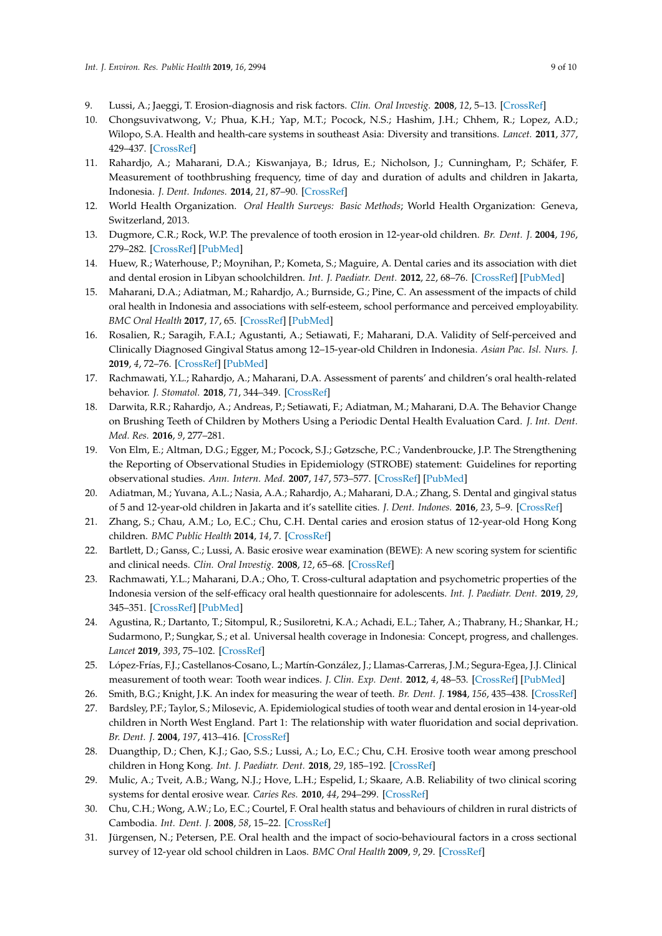- <span id="page-8-0"></span>9. Lussi, A.; Jaeggi, T. Erosion-diagnosis and risk factors. *Clin. Oral Investig.* **2008**, *12*, 5–13. [\[CrossRef\]](http://dx.doi.org/10.1007/s00784-007-0179-z)
- <span id="page-8-1"></span>10. Chongsuvivatwong, V.; Phua, K.H.; Yap, M.T.; Pocock, N.S.; Hashim, J.H.; Chhem, R.; Lopez, A.D.; Wilopo, S.A. Health and health-care systems in southeast Asia: Diversity and transitions. *Lancet.* **2011**, *377*, 429–437. [\[CrossRef\]](http://dx.doi.org/10.1016/S0140-6736(10)61507-3)
- <span id="page-8-2"></span>11. Rahardjo, A.; Maharani, D.A.; Kiswanjaya, B.; Idrus, E.; Nicholson, J.; Cunningham, P.; Schäfer, F. Measurement of toothbrushing frequency, time of day and duration of adults and children in Jakarta, Indonesia. *J. Dent. Indones.* **2014**, *21*, 87–90. [\[CrossRef\]](http://dx.doi.org/10.14693/jdi.v21i3.251)
- <span id="page-8-3"></span>12. World Health Organization. *Oral Health Surveys: Basic Methods*; World Health Organization: Geneva, Switzerland, 2013.
- <span id="page-8-4"></span>13. Dugmore, C.R.; Rock, W.P. The prevalence of tooth erosion in 12-year-old children. *Br. Dent. J.* **2004**, *196*, 279–282. [\[CrossRef\]](http://dx.doi.org/10.1038/sj.bdj.4811040) [\[PubMed\]](http://www.ncbi.nlm.nih.gov/pubmed/15017417)
- <span id="page-8-5"></span>14. Huew, R.; Waterhouse, P.; Moynihan, P.; Kometa, S.; Maguire, A. Dental caries and its association with diet and dental erosion in Libyan schoolchildren. *Int. J. Paediatr. Dent.* **2012**, *22*, 68–76. [\[CrossRef\]](http://dx.doi.org/10.1111/j.1365-263X.2011.01170.x) [\[PubMed\]](http://www.ncbi.nlm.nih.gov/pubmed/21831127)
- <span id="page-8-6"></span>15. Maharani, D.A.; Adiatman, M.; Rahardjo, A.; Burnside, G.; Pine, C. An assessment of the impacts of child oral health in Indonesia and associations with self-esteem, school performance and perceived employability. *BMC Oral Health* **2017**, *17*, 65. [\[CrossRef\]](http://dx.doi.org/10.1186/s12903-017-0358-5) [\[PubMed\]](http://www.ncbi.nlm.nih.gov/pubmed/28327110)
- 16. Rosalien, R.; Saragih, F.A.I.; Agustanti, A.; Setiawati, F.; Maharani, D.A. Validity of Self-perceived and Clinically Diagnosed Gingival Status among 12–15-year-old Children in Indonesia. *Asian Pac. Isl. Nurs. J.* **2019**, *4*, 72–76. [\[CrossRef\]](http://dx.doi.org/10.31372/20190402.1033) [\[PubMed\]](http://www.ncbi.nlm.nih.gov/pubmed/31259232)
- 17. Rachmawati, Y.L.; Rahardjo, A.; Maharani, D.A. Assessment of parents' and children's oral health-related behavior. *J. Stomatol.* **2018**, *71*, 344–349. [\[CrossRef\]](http://dx.doi.org/10.5114/jos.2018.83408)
- <span id="page-8-7"></span>18. Darwita, R.R.; Rahardjo, A.; Andreas, P.; Setiawati, F.; Adiatman, M.; Maharani, D.A. The Behavior Change on Brushing Teeth of Children by Mothers Using a Periodic Dental Health Evaluation Card. *J. Int. Dent. Med. Res.* **2016**, *9*, 277–281.
- <span id="page-8-8"></span>19. Von Elm, E.; Altman, D.G.; Egger, M.; Pocock, S.J.; Gøtzsche, P.C.; Vandenbroucke, J.P. The Strengthening the Reporting of Observational Studies in Epidemiology (STROBE) statement: Guidelines for reporting observational studies. *Ann. Intern. Med.* **2007**, *147*, 573–577. [\[CrossRef\]](http://dx.doi.org/10.7326/0003-4819-147-8-200710160-00010) [\[PubMed\]](http://www.ncbi.nlm.nih.gov/pubmed/17938396)
- <span id="page-8-9"></span>20. Adiatman, M.; Yuvana, A.L.; Nasia, A.A.; Rahardjo, A.; Maharani, D.A.; Zhang, S. Dental and gingival status of 5 and 12-year-old children in Jakarta and it's satellite cities. *J. Dent. Indones.* **2016**, *23*, 5–9. [\[CrossRef\]](http://dx.doi.org/10.14693/jdi.v23i1.982)
- <span id="page-8-10"></span>21. Zhang, S.; Chau, A.M.; Lo, E.C.; Chu, C.H. Dental caries and erosion status of 12-year-old Hong Kong children. *BMC Public Health* **2014**, *14*, 7. [\[CrossRef\]](http://dx.doi.org/10.1186/1471-2458-14-7)
- <span id="page-8-11"></span>22. Bartlett, D.; Ganss, C.; Lussi, A. Basic erosive wear examination (BEWE): A new scoring system for scientific and clinical needs. *Clin. Oral Investig.* **2008**, *12*, 65–68. [\[CrossRef\]](http://dx.doi.org/10.1007/s00784-007-0181-5)
- <span id="page-8-12"></span>23. Rachmawati, Y.L.; Maharani, D.A.; Oho, T. Cross-cultural adaptation and psychometric properties of the Indonesia version of the self-efficacy oral health questionnaire for adolescents. *Int. J. Paediatr. Dent.* **2019**, *29*, 345–351. [\[CrossRef\]](http://dx.doi.org/10.1111/ipd.12472) [\[PubMed\]](http://www.ncbi.nlm.nih.gov/pubmed/30710462)
- <span id="page-8-13"></span>24. Agustina, R.; Dartanto, T.; Sitompul, R.; Susiloretni, K.A.; Achadi, E.L.; Taher, A.; Thabrany, H.; Shankar, H.; Sudarmono, P.; Sungkar, S.; et al. Universal health coverage in Indonesia: Concept, progress, and challenges. *Lancet* **2019**, *393*, 75–102. [\[CrossRef\]](http://dx.doi.org/10.1016/S0140-6736(18)31647-7)
- <span id="page-8-14"></span>25. López-Frías, F.J.; Castellanos-Cosano, L.; Martín-González, J.; Llamas-Carreras, J.M.; Segura-Egea, J.J. Clinical measurement of tooth wear: Tooth wear indices. *J. Clin. Exp. Dent.* **2012**, *4*, 48–53. [\[CrossRef\]](http://dx.doi.org/10.4317/jced.50592) [\[PubMed\]](http://www.ncbi.nlm.nih.gov/pubmed/24558525)
- <span id="page-8-15"></span>26. Smith, B.G.; Knight, J.K. An index for measuring the wear of teeth. *Br. Dent. J.* **1984**, *156*, 435–438. [\[CrossRef\]](http://dx.doi.org/10.1038/sj.bdj.4805394)
- <span id="page-8-16"></span>27. Bardsley, P.F.; Taylor, S.; Milosevic, A. Epidemiological studies of tooth wear and dental erosion in 14-year-old children in North West England. Part 1: The relationship with water fluoridation and social deprivation. *Br. Dent. J.* **2004**, *197*, 413–416. [\[CrossRef\]](http://dx.doi.org/10.1038/sj.bdj.4811722)
- <span id="page-8-17"></span>28. Duangthip, D.; Chen, K.J.; Gao, S.S.; Lussi, A.; Lo, E.C.; Chu, C.H. Erosive tooth wear among preschool children in Hong Kong. *Int. J. Paediatr. Dent.* **2018**, *29*, 185–192. [\[CrossRef\]](http://dx.doi.org/10.1111/ipd.12457)
- <span id="page-8-18"></span>29. Mulic, A.; Tveit, A.B.; Wang, N.J.; Hove, L.H.; Espelid, I.; Skaare, A.B. Reliability of two clinical scoring systems for dental erosive wear. *Caries Res.* **2010**, *44*, 294–299. [\[CrossRef\]](http://dx.doi.org/10.1159/000314811)
- <span id="page-8-19"></span>30. Chu, C.H.; Wong, A.W.; Lo, E.C.; Courtel, F. Oral health status and behaviours of children in rural districts of Cambodia. *Int. Dent. J.* **2008**, *58*, 15–22. [\[CrossRef\]](http://dx.doi.org/10.1111/j.1875-595X.2008.tb00172.x)
- <span id="page-8-20"></span>31. Jürgensen, N.; Petersen, P.E. Oral health and the impact of socio-behavioural factors in a cross sectional survey of 12-year old school children in Laos. *BMC Oral Health* **2009**, *9*, 29. [\[CrossRef\]](http://dx.doi.org/10.1186/1472-6831-9-29)